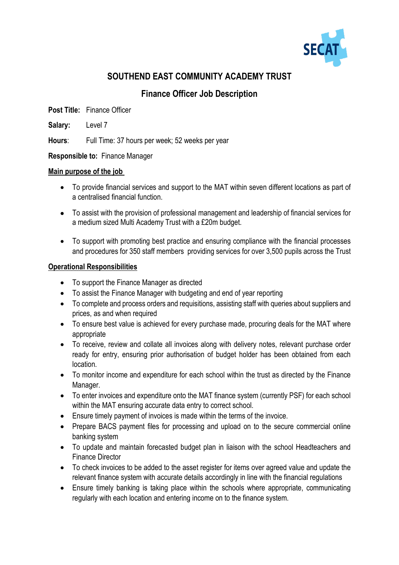

# **SOUTHEND EAST COMMUNITY ACADEMY TRUST**

## **Finance Officer Job Description**

**Post Title:** Finance Officer

**Salary:** Level 7

**Hours**: Full Time: 37 hours per week; 52 weeks per year

**Responsible to:** Finance Manager

#### **Main purpose of the job**

- To provide financial services and support to the MAT within seven different locations as part of a centralised financial function.
- To assist with the provision of professional management and leadership of financial services for a medium sized Multi Academy Trust with a £20m budget.
- To support with promoting best practice and ensuring compliance with the financial processes and procedures for 350 staff members providing services for over 3,500 pupils across the Trust

#### **Operational Responsibilities**

- To support the Finance Manager as directed
- To assist the Finance Manager with budgeting and end of year reporting
- To complete and process orders and requisitions, assisting staff with queries about suppliers and prices, as and when required
- To ensure best value is achieved for every purchase made, procuring deals for the MAT where appropriate
- To receive, review and collate all invoices along with delivery notes, relevant purchase order ready for entry, ensuring prior authorisation of budget holder has been obtained from each location.
- To monitor income and expenditure for each school within the trust as directed by the Finance Manager.
- To enter invoices and expenditure onto the MAT finance system (currently PSF) for each school within the MAT ensuring accurate data entry to correct school.
- Ensure timely payment of invoices is made within the terms of the invoice.
- Prepare BACS payment files for processing and upload on to the secure commercial online banking system
- To update and maintain forecasted budget plan in liaison with the school Headteachers and Finance Director
- To check invoices to be added to the asset register for items over agreed value and update the relevant finance system with accurate details accordingly in line with the financial regulations
- Ensure timely banking is taking place within the schools where appropriate, communicating regularly with each location and entering income on to the finance system.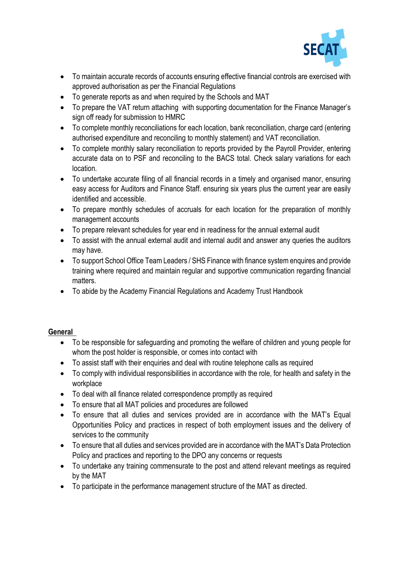

- To maintain accurate records of accounts ensuring effective financial controls are exercised with approved authorisation as per the Financial Regulations
- To generate reports as and when required by the Schools and MAT
- To prepare the VAT return attaching with supporting documentation for the Finance Manager's sign off ready for submission to HMRC
- To complete monthly reconciliations for each location, bank reconciliation, charge card (entering authorised expenditure and reconciling to monthly statement) and VAT reconciliation.
- To complete monthly salary reconciliation to reports provided by the Payroll Provider, entering accurate data on to PSF and reconciling to the BACS total. Check salary variations for each location.
- To undertake accurate filing of all financial records in a timely and organised manor, ensuring easy access for Auditors and Finance Staff. ensuring six years plus the current year are easily identified and accessible.
- To prepare monthly schedules of accruals for each location for the preparation of monthly management accounts
- To prepare relevant schedules for year end in readiness for the annual external audit
- To assist with the annual external audit and internal audit and answer any queries the auditors may have.
- To support School Office Team Leaders / SHS Finance with finance system enquires and provide training where required and maintain regular and supportive communication regarding financial matters.
- To abide by the Academy Financial Regulations and Academy Trust Handbook

### **General**

- To be responsible for safeguarding and promoting the welfare of children and young people for whom the post holder is responsible, or comes into contact with
- To assist staff with their enquiries and deal with routine telephone calls as required
- To comply with individual responsibilities in accordance with the role, for health and safety in the workplace
- To deal with all finance related correspondence promptly as required
- To ensure that all MAT policies and procedures are followed
- To ensure that all duties and services provided are in accordance with the MAT's Equal Opportunities Policy and practices in respect of both employment issues and the delivery of services to the community
- To ensure that all duties and services provided are in accordance with the MAT's Data Protection Policy and practices and reporting to the DPO any concerns or requests
- To undertake any training commensurate to the post and attend relevant meetings as required by the MAT
- To participate in the performance management structure of the MAT as directed.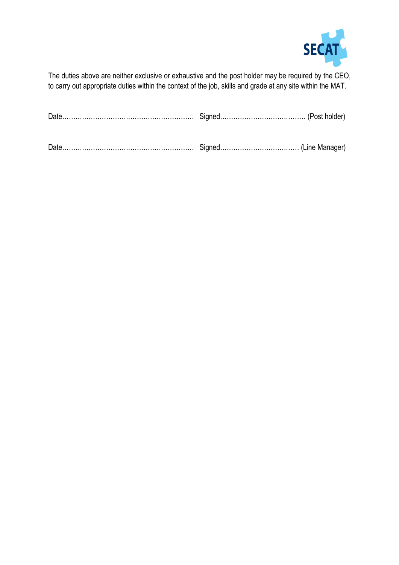

The duties above are neither exclusive or exhaustive and the post holder may be required by the CEO, to carry out appropriate duties within the context of the job, skills and grade at any site within the MAT.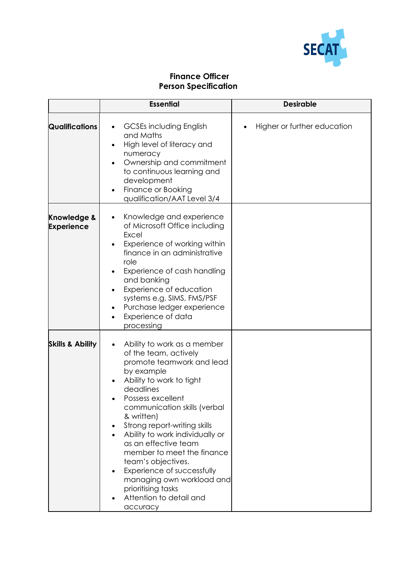

## **Finance Officer Person Specification**

|                                             | <b>Essential</b>                                                                                                                                                                                                                                                                                                                                                                                                                                                                   | <b>Desirable</b>            |
|---------------------------------------------|------------------------------------------------------------------------------------------------------------------------------------------------------------------------------------------------------------------------------------------------------------------------------------------------------------------------------------------------------------------------------------------------------------------------------------------------------------------------------------|-----------------------------|
| <b>Qualifications</b>                       | <b>GCSEs including English</b><br>and Maths<br>High level of literacy and<br>numeracy<br>Ownership and commitment<br>to continuous learning and<br>development<br>Finance or Booking<br>qualification/AAT Level 3/4                                                                                                                                                                                                                                                                | Higher or further education |
| <b>Knowledge &amp;</b><br><b>Experience</b> | Knowledge and experience<br>of Microsoft Office including<br>Excel<br>Experience of working within<br>finance in an administrative<br>role<br>Experience of cash handling<br>$\bullet$<br>and banking<br>Experience of education<br>systems e.g. SIMS, FMS/PSF<br>Purchase ledger experience<br>$\bullet$<br>Experience of data<br>$\bullet$<br>processing                                                                                                                         |                             |
| <b>Skills &amp; Ability</b>                 | Ability to work as a member<br>of the team, actively<br>promote teamwork and lead<br>by example<br>Ability to work to tight<br>deadlines<br>Possess excellent<br>communication skills (verbal<br>& written)<br>Strong report-writing skills<br>Ability to work individually or<br>as an effective team<br>member to meet the finance<br>team's objectives.<br>Experience of successfully<br>managing own workload and<br>prioritising tasks<br>Attention to detail and<br>accuracy |                             |